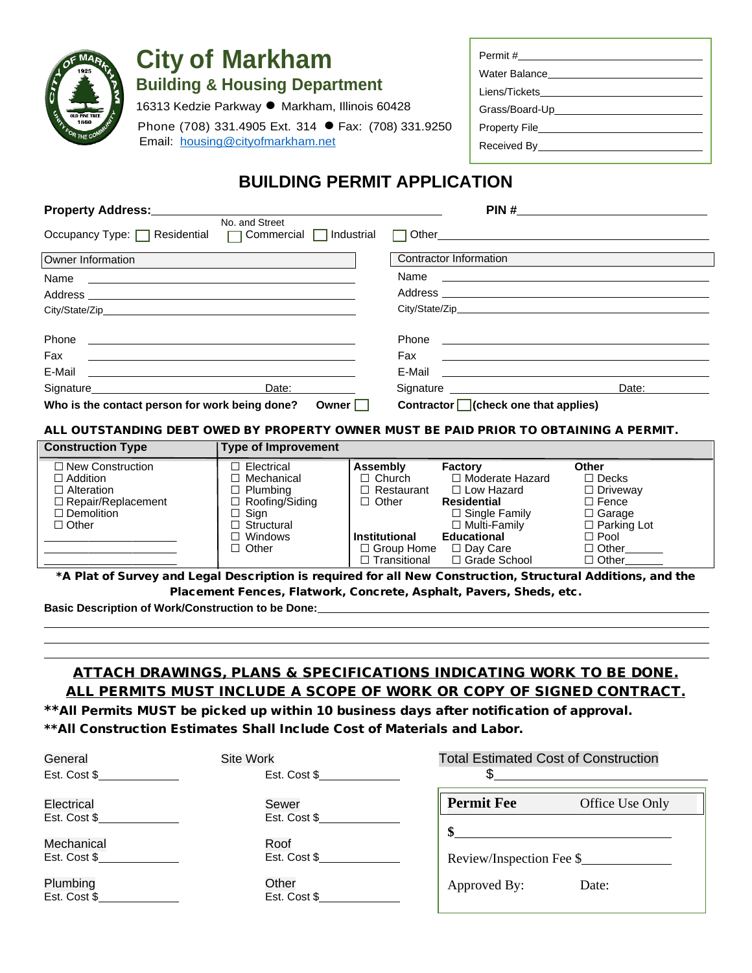

# **City of Markham Building & Housing Department**

<sup>16313</sup> Kedzie Parkway ● Markham, Illinois <sup>60428</sup>

Phone (708) 331.4905 Ext. <sup>314</sup>● Fax: (708) 331.9250 Email: [housing@cityofmarkham.net](mailto:housing@cityofmarkham.net)

| Water Balance <u>New York Communication</u> |  |
|---------------------------------------------|--|
|                                             |  |
|                                             |  |
| Property File.                              |  |
|                                             |  |
|                                             |  |

## **BUILDING PERMIT APPLICATION**

| <b>Property Address:</b>                                                                                    |                                                                                                                      |                                  |                                             |                                                                                                                  |
|-------------------------------------------------------------------------------------------------------------|----------------------------------------------------------------------------------------------------------------------|----------------------------------|---------------------------------------------|------------------------------------------------------------------------------------------------------------------|
| Occupancy Type: □ Residential                                                                               | No. and Street<br>Commercial   Industrial                                                                            |                                  |                                             | Other than the contract of the contract of the contract of the contract of the contract of the contract of the   |
| Owner Information                                                                                           |                                                                                                                      |                                  | <b>Contractor Information</b>               |                                                                                                                  |
| Name                                                                                                        | the contract of the contract of the contract of the contract of the contract of the contract of                      | Name                             |                                             | and the control of the control of the control of the control of the control of the control of the control of the |
|                                                                                                             |                                                                                                                      |                                  |                                             |                                                                                                                  |
|                                                                                                             |                                                                                                                      |                                  |                                             |                                                                                                                  |
|                                                                                                             |                                                                                                                      |                                  |                                             |                                                                                                                  |
| Phone                                                                                                       |                                                                                                                      |                                  |                                             |                                                                                                                  |
| Fax                                                                                                         | <u> 1990 - Johann John Stein, markin fan it ferstjer fan de ferstjer fan it ferstjer fan it ferstjer fan it fers</u> | Fax                              |                                             |                                                                                                                  |
| E-Mail                                                                                                      |                                                                                                                      | E-Mail                           |                                             | <u> 2000 - Jan Barristo, amerikan personal (h. 1878).</u>                                                        |
|                                                                                                             |                                                                                                                      |                                  |                                             |                                                                                                                  |
| Who is the contact person for work being done?                                                              | Owner $\Box$                                                                                                         |                                  | Contractor $\Box$ (check one that applies)  |                                                                                                                  |
| ALL OUTSTANDING DEBT OWED BY PROPERTY OWNER MUST BE PAID PRIOR TO OBTAINING A PERMIT.                       |                                                                                                                      |                                  |                                             |                                                                                                                  |
| <b>Construction Type</b>                                                                                    | <b>Type of Improvement</b>                                                                                           |                                  |                                             |                                                                                                                  |
| $\Box$ New Construction                                                                                     | $\Box$ Electrical                                                                                                    |                                  |                                             |                                                                                                                  |
| $\Box$ Addition                                                                                             | $\Box$ Mechanical                                                                                                    | <b>Assembly</b><br>$\Box$ Church | Factory<br>□ Moderate Hazard                | Other<br>$\Box$ Decks                                                                                            |
| $\Box$ Alteration                                                                                           | $\Box$ Plumbing                                                                                                      | $\Box$ Restaurant                | $\Box$ Low Hazard                           | $\Box$ Driveway                                                                                                  |
| $\Box$ Repair/Replacement                                                                                   | $\Box$ Roofing/Siding                                                                                                | $\Box$ Other                     | <b>Residential</b>                          | $\Box$ Fence                                                                                                     |
| $\Box$ Demolition<br>$\Box$ Other                                                                           | $\Box$ Sign<br>$\Box$ Structural                                                                                     |                                  | $\Box$ Single Family<br>$\Box$ Multi-Family | $\Box$ Garage                                                                                                    |
|                                                                                                             | $\Box$ Windows                                                                                                       | <b>Institutional</b>             | <b>Educational</b>                          | $\Box$ Parking Lot<br>$\Box$ Pool                                                                                |
|                                                                                                             | $\Box$ Other                                                                                                         | $\Box$ Group Home                | $\Box$ Day Care                             | $\Box$ Other                                                                                                     |
|                                                                                                             |                                                                                                                      | $\Box$ Transitional              | □ Grade School                              | $\Box$ Other                                                                                                     |
| *A Plat of Survey and Legal Description is required for all New Construction, Structural Additions, and the |                                                                                                                      |                                  |                                             |                                                                                                                  |
|                                                                                                             | Placement Fences, Flatwork, Concrete, Asphalt, Pavers, Sheds, etc.                                                   |                                  |                                             |                                                                                                                  |
| Basic Description of Work/Construction to be Done: _____________________________                            |                                                                                                                      |                                  |                                             |                                                                                                                  |
|                                                                                                             |                                                                                                                      |                                  |                                             |                                                                                                                  |
|                                                                                                             |                                                                                                                      |                                  |                                             |                                                                                                                  |
|                                                                                                             |                                                                                                                      |                                  |                                             |                                                                                                                  |
| ATTACH DRAWINGS, PLANS & SPECIFICATIONS INDICATING WORK TO BE DONE.                                         |                                                                                                                      |                                  |                                             |                                                                                                                  |
| ALL PERMITS MUST INCLUDE A SCOPE OF WORK OR COPY OF SIGNED CONTRACT.                                        |                                                                                                                      |                                  |                                             |                                                                                                                  |
| **All Permits MUST be picked up within 10 business days after notification of approval.                     |                                                                                                                      |                                  |                                             |                                                                                                                  |
|                                                                                                             |                                                                                                                      |                                  |                                             |                                                                                                                  |
| ** All Construction Estimates Shall Include Cost of Materials and Labor.                                    |                                                                                                                      |                                  |                                             |                                                                                                                  |
|                                                                                                             |                                                                                                                      |                                  | <b>Total Estimated Cost of Construction</b> |                                                                                                                  |
| General                                                                                                     | <b>Site Work</b>                                                                                                     |                                  |                                             |                                                                                                                  |
| Est. Cost \$                                                                                                | Est. Cost \$                                                                                                         |                                  | \$                                          |                                                                                                                  |
| Electrical                                                                                                  | Sewer                                                                                                                |                                  | <b>Permit Fee</b>                           | Office Use Only                                                                                                  |
| Est. Cost \$                                                                                                | Est. Cost \$                                                                                                         |                                  |                                             |                                                                                                                  |
|                                                                                                             |                                                                                                                      |                                  | $\frac{1}{2}$                               |                                                                                                                  |
| Mechanical                                                                                                  | Roof                                                                                                                 |                                  |                                             |                                                                                                                  |
| Est. Cost \$                                                                                                | Est. Cost \$                                                                                                         |                                  | Review/Inspection Fee \$_                   |                                                                                                                  |

Plumbing Dianual Dianual Dianual Dianual Dianual Dianual Dianual Dianual Dianual Dianual Dianual Dianual Dianu<br>Estate Dianual Dianual Dianual Dianual Dianual Dianual Dianual Dianual Dianual Dianual Dianual Dianual Dianual Est. Cost \$

| ther        |  |
|-------------|--|
| st. Cost \$ |  |

Approved By: Date: